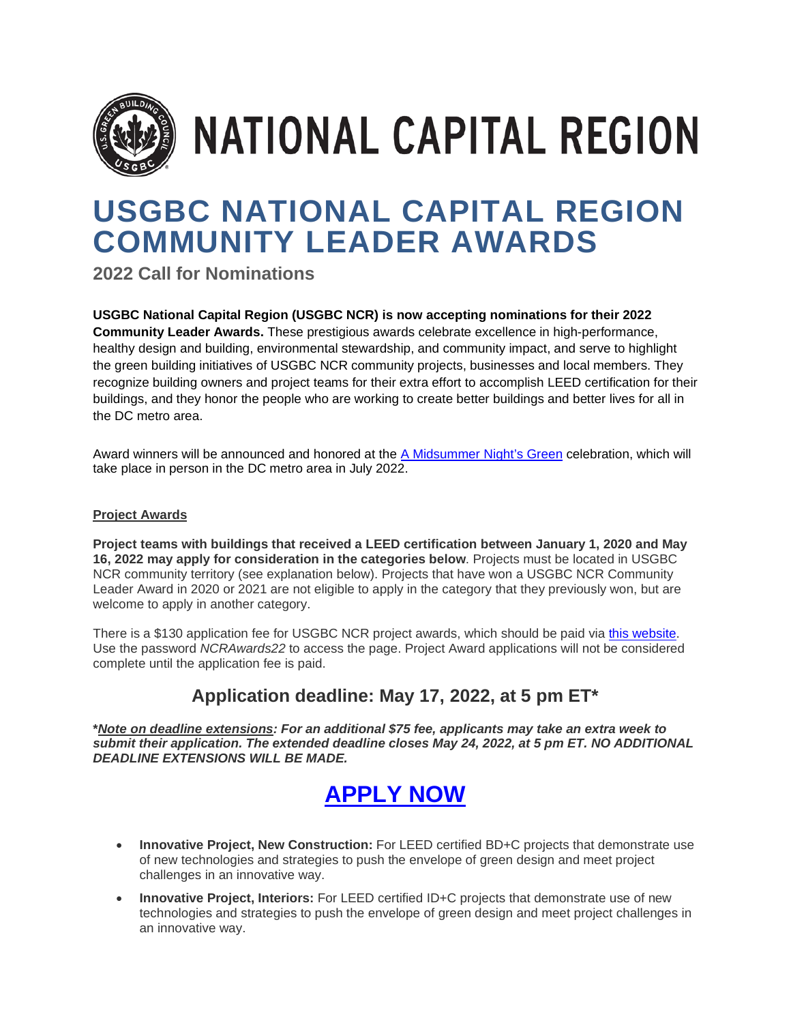

NATIONAL CAPITAL REGION

# **USGBC NATIONAL CAPITAL REGION COMMUNITY LEADER AWARDS**

**2022 Call for Nominations**

### **USGBC National Capital Region (USGBC NCR) is now accepting nominations for their 2022**

**Community Leader Awards.** These prestigious awards celebrate excellence in high-performance, healthy design and building, environmental stewardship, and community impact, and serve to highlight the green building initiatives of USGBC NCR community projects, businesses and local members. They recognize building owners and project teams for their extra effort to accomplish LEED certification for their buildings, and they honor the people who are working to create better buildings and better lives for all in the DC metro area.

Award winners will be announced and honored at the [A Midsummer Night's Green](https://www.amidsummernightsgreen.com/) celebration, which will take place in person in the DC metro area in July 2022.

### **Project Awards**

**Project teams with buildings that received a LEED certification between January 1, 2020 and May 16, 2022 may apply for consideration in the categories below**. Projects must be located in USGBC NCR community territory (see explanation below). Projects that have won a USGBC NCR Community Leader Award in 2020 or 2021 are not eligible to apply in the category that they previously won, but are welcome to apply in another category.

There is a \$130 application fee for USGBC NCR project awards, which should be paid via [this website.](https://ncrawards22.eventbrite.com/) Use the password *NCRAwards22* to access the page. Project Award applications will not be considered complete until the application fee is paid.

### **Application deadline: May 17, 2022, at 5 pm ET\***

**\****Note on deadline extensions: For an additional \$75 fee, applicants may take an extra week to submit their application. The extended deadline closes May 24, 2022, at 5 pm ET. NO ADDITIONAL DEADLINE EXTENSIONS WILL BE MADE.*

# **[APPLY NOW](https://usgbc.wufoo.com/forms/q153pdk7115ep7i/)**

- **Innovative Project, New Construction:** For LEED certified BD+C projects that demonstrate use of new technologies and strategies to push the envelope of green design and meet project challenges in an innovative way.
- **Innovative Project, Interiors:** For LEED certified ID+C projects that demonstrate use of new technologies and strategies to push the envelope of green design and meet project challenges in an innovative way.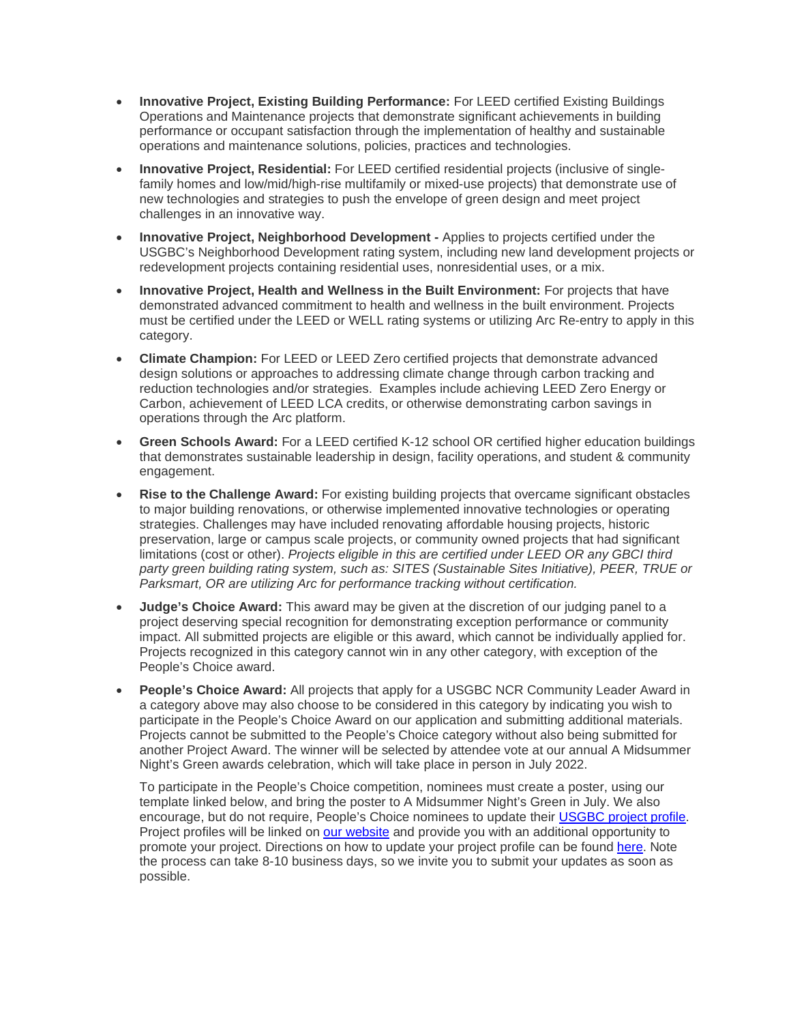- **Innovative Project, Existing Building Performance:** For LEED certified Existing Buildings Operations and Maintenance projects that demonstrate significant achievements in building performance or occupant satisfaction through the implementation of healthy and sustainable operations and maintenance solutions, policies, practices and technologies.
- **Innovative Project, Residential:** For LEED certified residential projects (inclusive of singlefamily homes and low/mid/high-rise multifamily or mixed-use projects) that demonstrate use of new technologies and strategies to push the envelope of green design and meet project challenges in an innovative way.
- **Innovative Project, Neighborhood Development -** Applies to projects certified under the USGBC's Neighborhood Development rating system, including new land development projects or redevelopment projects containing residential uses, nonresidential uses, or a mix.
- **Innovative Project, Health and Wellness in the Built Environment:** For projects that have demonstrated advanced commitment to health and wellness in the built environment. Projects must be certified under the LEED or WELL rating systems or utilizing Arc Re-entry to apply in this category.
- **Climate Champion:** For LEED or LEED Zero certified projects that demonstrate advanced design solutions or approaches to addressing climate change through carbon tracking and reduction technologies and/or strategies. Examples include achieving LEED Zero Energy or Carbon, achievement of LEED LCA credits, or otherwise demonstrating carbon savings in operations through the Arc platform.
- **Green Schools Award:** For a LEED certified K-12 school OR certified higher education buildings that demonstrates sustainable leadership in design, facility operations, and student & community engagement.
- **Rise to the Challenge Award:** For existing building projects that overcame significant obstacles to major building renovations, or otherwise implemented innovative technologies or operating strategies. Challenges may have included renovating affordable housing projects, historic preservation, large or campus scale projects, or community owned projects that had significant limitations (cost or other). *Projects eligible in this are certified under LEED OR any GBCI third party green building rating system, such as: SITES (Sustainable Sites Initiative), PEER, TRUE or Parksmart, OR are utilizing Arc for performance tracking without certification.*
- **Judge's Choice Award:** This award may be given at the discretion of our judging panel to a project deserving special recognition for demonstrating exception performance or community impact. All submitted projects are eligible or this award, which cannot be individually applied for. Projects recognized in this category cannot win in any other category, with exception of the People's Choice award.
- **People's Choice Award:** All projects that apply for a USGBC NCR Community Leader Award in a category above may also choose to be considered in this category by indicating you wish to participate in the People's Choice Award on our application and submitting additional materials. Projects cannot be submitted to the People's Choice category without also being submitted for another Project Award. The winner will be selected by attendee vote at our annual A Midsummer Night's Green awards celebration, which will take place in person in July 2022.

To participate in the People's Choice competition, nominees must create a poster, using our template linked below, and bring the poster to A Midsummer Night's Green in July. We also encourage, but do not require, People's Choice nominees to update their [USGBC project profile.](https://www.usgbc.org/projects) Project profiles will be linked on [our website](https://www.amidsummernightsgreen.com/) and provide you with an additional opportunity to promote your project. Directions on how to update your project profile can be foun[d here.](https://support.usgbc.org/hc/en-us/articles/4403664415379-How-do-I-add-a-project-profile-to-the-LEED-project-directory-) Note the process can take 8-10 business days, so we invite you to submit your updates as soon as possible.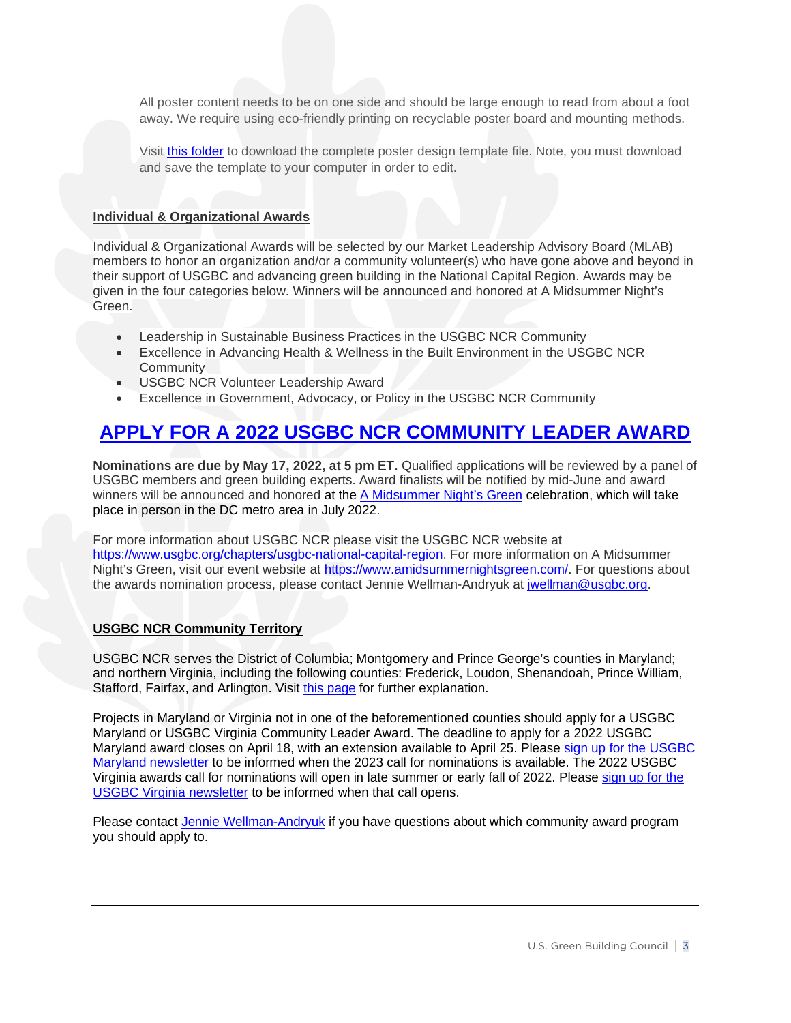All poster content needs to be on one side and should be large enough to read from about a foot away. We require using eco-friendly printing on recyclable poster board and mounting methods.

Visit [this folder](https://usgbc-my.sharepoint.com/:f:/g/personal/lcommunities_usgbc_org/ErKOAJhzfOJIhTfsq7xc0f0BI3nVT7OY5vjIw1FdwUwbFw?e=280ewH) to download the complete poster design template file. Note, you must download and save the template to your computer in order to edit.

### **Individual & Organizational Awards**

Individual & Organizational Awards will be selected by our Market Leadership Advisory Board (MLAB) members to honor an organization and/or a community volunteer(s) who have gone above and beyond in their support of USGBC and advancing green building in the National Capital Region. Awards may be given in the four categories below. Winners will be announced and honored at A Midsummer Night's Green.

- Leadership in Sustainable Business Practices in the USGBC NCR Community
- Excellence in Advancing Health & Wellness in the Built Environment in the USGBC NCR **Community**
- USGBC NCR Volunteer Leadership Award
- Excellence in Government, Advocacy, or Policy in the USGBC NCR Community

## **APPLY FOR A 2022 USGBC NCR [COMMUNITY LEADER](https://usgbc.wufoo.com/forms/q153pdk7115ep7i/) AWARD**

**Nominations are due by May 17, 2022, at 5 pm ET.** Qualified applications will be reviewed by a panel of USGBC members and green building experts. Award finalists will be notified by mid-June and award winners will be announced and honored at the [A Midsummer Night's Green](https://www.amidsummernightsgreen.com/) celebration, which will take place in person in the DC metro area in July 2022.

For more information about USGBC NCR please visit the USGBC NCR website at [https://www.usgbc.org/chapters/usgbc-national-capital-region.](https://www.usgbc.org/chapters/usgbc-national-capital-region) For more information on A Midsummer Night's Green, visit our event website at [https://www.amidsummernightsgreen.com/.](https://www.amidsummernightsgreen.com/) For questions about the awards nomination process, please contact Jennie Wellman-Andryuk at [jwellman@usgbc.org.](mailto:jwellman@usgbc.org)

#### **USGBC NCR Community Territory**

USGBC NCR serves the District of Columbia; Montgomery and Prince George's counties in Maryland; and northern Virginia, including the following counties: Frederick, Loudon, Shenandoah, Prince William, Stafford, Fairfax, and Arlington. Visit [this page](https://www.amidsummernightsgreen.com/awards-territories) for further explanation.

Projects in Maryland or Virginia not in one of the beforementioned counties should apply for a USGBC Maryland or USGBC Virginia Community Leader Award. The deadline to apply for a 2022 USGBC Maryland award closes on April 18, with an extension available to April 25. Please sign up for the USGBC [Maryland newsletter](https://build.usgbc.org/l/413862/2020-05-06/r8mvgx) to be informed when the 2023 call for nominations is available. The 2022 USGBC Virginia awards call for nominations will open in late summer or early fall of 2022. Please sign up for the [USGBC Virginia newsletter](https://build.usgbc.org/l/413862/2020-05-06/r8n3j4) to be informed when that call opens.

Please contact [Jennie Wellman-Andryuk](mailto:jwellman@usgbc.org) if you have questions about which community award program you should apply to.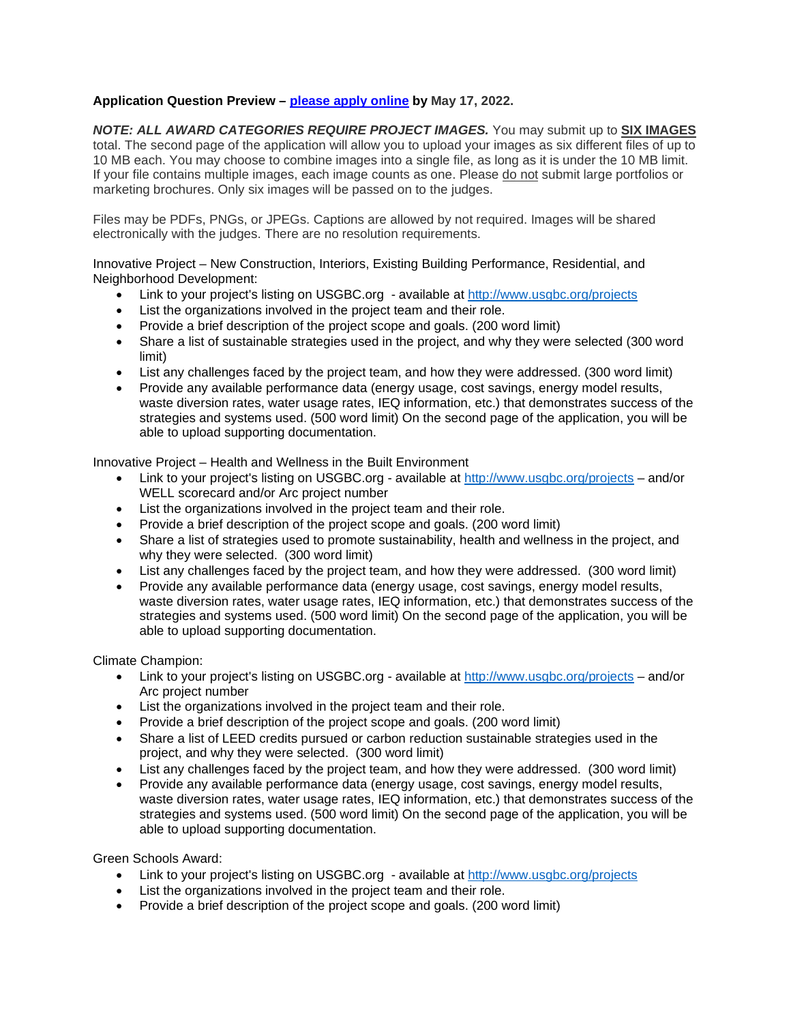### **Application Question Preview – [please apply online](https://usgbc.wufoo.com/forms/q153pdk7115ep7i/) by May 17, 2022.**

*NOTE: ALL AWARD CATEGORIES REQUIRE PROJECT IMAGES.* You may submit up to **SIX IMAGES** total. The second page of the application will allow you to upload your images as six different files of up to 10 MB each. You may choose to combine images into a single file, as long as it is under the 10 MB limit. If your file contains multiple images, each image counts as one. Please do not submit large portfolios or marketing brochures. Only six images will be passed on to the judges.

Files may be PDFs, PNGs, or JPEGs. Captions are allowed by not required. Images will be shared electronically with the judges. There are no resolution requirements.

Innovative Project – New Construction, Interiors, Existing Building Performance, Residential, and Neighborhood Development:

- Link to your project's listing on USGBC.org available at<http://www.usgbc.org/projects>
- List the organizations involved in the project team and their role.
- Provide a brief description of the project scope and goals. (200 word limit)
- Share a list of sustainable strategies used in the project, and why they were selected (300 word limit)
- List any challenges faced by the project team, and how they were addressed. (300 word limit)
- Provide any available performance data (energy usage, cost savings, energy model results, waste diversion rates, water usage rates, IEQ information, etc.) that demonstrates success of the strategies and systems used. (500 word limit) On the second page of the application, you will be able to upload supporting documentation.

Innovative Project – Health and Wellness in the Built Environment

- Link to your project's listing on USGBC.org available at<http://www.usgbc.org/projects> and/or WELL scorecard and/or Arc project number
- List the organizations involved in the project team and their role.
- Provide a brief description of the project scope and goals. (200 word limit)
- Share a list of strategies used to promote sustainability, health and wellness in the project, and why they were selected. (300 word limit)
- List any challenges faced by the project team, and how they were addressed. (300 word limit)
- Provide any available performance data (energy usage, cost savings, energy model results, waste diversion rates, water usage rates, IEQ information, etc.) that demonstrates success of the strategies and systems used. (500 word limit) On the second page of the application, you will be able to upload supporting documentation.

Climate Champion:

- Link to your project's listing on USGBC.org available at<http://www.usgbc.org/projects> and/or Arc project number
- List the organizations involved in the project team and their role.
- Provide a brief description of the project scope and goals. (200 word limit)
- Share a list of LEED credits pursued or carbon reduction sustainable strategies used in the project, and why they were selected. (300 word limit)
- List any challenges faced by the project team, and how they were addressed. (300 word limit)
- Provide any available performance data (energy usage, cost savings, energy model results, waste diversion rates, water usage rates, IEQ information, etc.) that demonstrates success of the strategies and systems used. (500 word limit) On the second page of the application, you will be able to upload supporting documentation.

Green Schools Award:

- Link to your project's listing on USGBC.org available at<http://www.usgbc.org/projects>
- List the organizations involved in the project team and their role.
- Provide a brief description of the project scope and goals. (200 word limit)